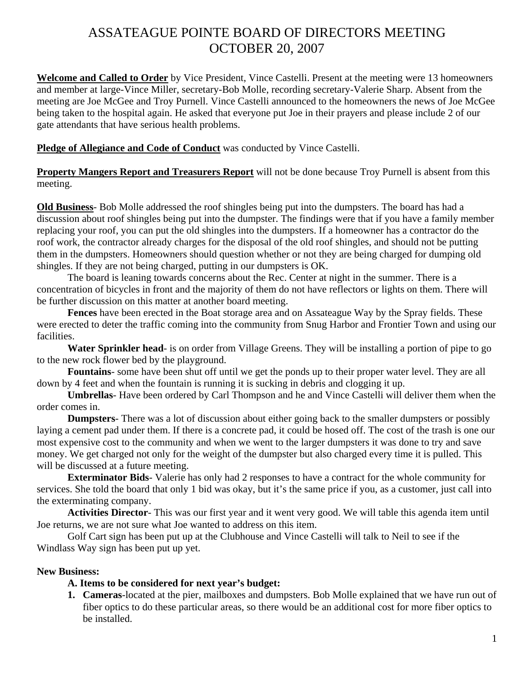# ASSATEAGUE POINTE BOARD OF DIRECTORS MEETING OCTOBER 20, 2007

**Welcome and Called to Order** by Vice President, Vince Castelli. Present at the meeting were 13 homeowners and member at large-Vince Miller, secretary-Bob Molle, recording secretary-Valerie Sharp. Absent from the meeting are Joe McGee and Troy Purnell. Vince Castelli announced to the homeowners the news of Joe McGee being taken to the hospital again. He asked that everyone put Joe in their prayers and please include 2 of our gate attendants that have serious health problems.

## **Pledge of Allegiance and Code of Conduct** was conducted by Vince Castelli.

**Property Mangers Report and Treasurers Report** will not be done because Troy Purnell is absent from this meeting.

**Old Business**- Bob Molle addressed the roof shingles being put into the dumpsters. The board has had a discussion about roof shingles being put into the dumpster. The findings were that if you have a family member replacing your roof, you can put the old shingles into the dumpsters. If a homeowner has a contractor do the roof work, the contractor already charges for the disposal of the old roof shingles, and should not be putting them in the dumpsters. Homeowners should question whether or not they are being charged for dumping old shingles. If they are not being charged, putting in our dumpsters is OK.

The board is leaning towards concerns about the Rec. Center at night in the summer. There is a concentration of bicycles in front and the majority of them do not have reflectors or lights on them. There will be further discussion on this matter at another board meeting.

**Fences** have been erected in the Boat storage area and on Assateague Way by the Spray fields. These were erected to deter the traffic coming into the community from Snug Harbor and Frontier Town and using our facilities.

**Water Sprinkler head**- is on order from Village Greens. They will be installing a portion of pipe to go to the new rock flower bed by the playground.

**Fountains**- some have been shut off until we get the ponds up to their proper water level. They are all down by 4 feet and when the fountain is running it is sucking in debris and clogging it up.

**Umbrellas**- Have been ordered by Carl Thompson and he and Vince Castelli will deliver them when the order comes in.

**Dumpsters**- There was a lot of discussion about either going back to the smaller dumpsters or possibly laying a cement pad under them. If there is a concrete pad, it could be hosed off. The cost of the trash is one our most expensive cost to the community and when we went to the larger dumpsters it was done to try and save money. We get charged not only for the weight of the dumpster but also charged every time it is pulled. This will be discussed at a future meeting.

**Exterminator Bids**- Valerie has only had 2 responses to have a contract for the whole community for services. She told the board that only 1 bid was okay, but it's the same price if you, as a customer, just call into the exterminating company.

**Activities Director**- This was our first year and it went very good. We will table this agenda item until Joe returns, we are not sure what Joe wanted to address on this item.

 Golf Cart sign has been put up at the Clubhouse and Vince Castelli will talk to Neil to see if the Windlass Way sign has been put up yet.

# **New Business:**

# **A. Items to be considered for next year's budget:**

**1. Cameras**-located at the pier, mailboxes and dumpsters. Bob Molle explained that we have run out of fiber optics to do these particular areas, so there would be an additional cost for more fiber optics to be installed.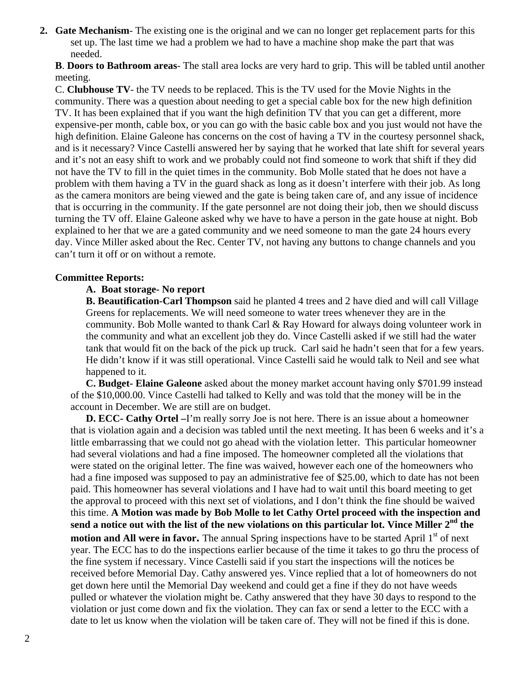- **2. Gate Mechanism** The existing one is the original and we can no longer get replacement parts for this set up. The last time we had a problem we had to have a machine shop make the part that was needed.
	- **B**. **Doors to Bathroom areas** The stall area locks are very hard to grip. This will be tabled until another meeting.

C. **Clubhouse TV**- the TV needs to be replaced. This is the TV used for the Movie Nights in the community. There was a question about needing to get a special cable box for the new high definition TV. It has been explained that if you want the high definition TV that you can get a different, more expensive-per month, cable box, or you can go with the basic cable box and you just would not have the high definition. Elaine Galeone has concerns on the cost of having a TV in the courtesy personnel shack, and is it necessary? Vince Castelli answered her by saying that he worked that late shift for several years and it's not an easy shift to work and we probably could not find someone to work that shift if they did not have the TV to fill in the quiet times in the community. Bob Molle stated that he does not have a problem with them having a TV in the guard shack as long as it doesn't interfere with their job. As long as the camera monitors are being viewed and the gate is being taken care of, and any issue of incidence that is occurring in the community. If the gate personnel are not doing their job, then we should discuss turning the TV off. Elaine Galeone asked why we have to have a person in the gate house at night. Bob explained to her that we are a gated community and we need someone to man the gate 24 hours every day. Vince Miller asked about the Rec. Center TV, not having any buttons to change channels and you can't turn it off or on without a remote.

## **Committee Reports:**

## **A. Boat storage- No report**

**B. Beautification-Carl Thompson** said he planted 4 trees and 2 have died and will call Village Greens for replacements. We will need someone to water trees whenever they are in the community. Bob Molle wanted to thank Carl & Ray Howard for always doing volunteer work in the community and what an excellent job they do. Vince Castelli asked if we still had the water tank that would fit on the back of the pick up truck. Carl said he hadn't seen that for a few years. He didn't know if it was still operational. Vince Castelli said he would talk to Neil and see what happened to it.

**C. Budget- Elaine Galeone** asked about the money market account having only \$701.99 instead of the \$10,000.00. Vince Castelli had talked to Kelly and was told that the money will be in the account in December. We are still are on budget.

**D. ECC- Cathy Ortel –***I***'m really sorry Joe is not here. There is an issue about a homeowner** that is violation again and a decision was tabled until the next meeting. It has been 6 weeks and it's a little embarrassing that we could not go ahead with the violation letter. This particular homeowner had several violations and had a fine imposed. The homeowner completed all the violations that were stated on the original letter. The fine was waived, however each one of the homeowners who had a fine imposed was supposed to pay an administrative fee of \$25.00, which to date has not been paid. This homeowner has several violations and I have had to wait until this board meeting to get the approval to proceed with this next set of violations, and I don't think the fine should be waived this time. **A Motion was made by Bob Molle to let Cathy Ortel proceed with the inspection and send a notice out with the list of the new violations on this particular lot. Vince Miller 2nd the motion and All were in favor.** The annual Spring inspections have to be started April 1<sup>st</sup> of next year. The ECC has to do the inspections earlier because of the time it takes to go thru the process of the fine system if necessary. Vince Castelli said if you start the inspections will the notices be received before Memorial Day. Cathy answered yes. Vince replied that a lot of homeowners do not get down here until the Memorial Day weekend and could get a fine if they do not have weeds pulled or whatever the violation might be. Cathy answered that they have 30 days to respond to the violation or just come down and fix the violation. They can fax or send a letter to the ECC with a date to let us know when the violation will be taken care of. They will not be fined if this is done.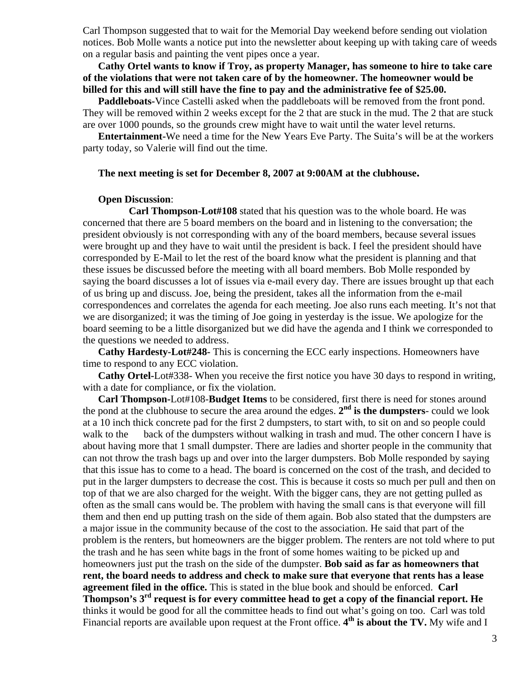Carl Thompson suggested that to wait for the Memorial Day weekend before sending out violation notices. Bob Molle wants a notice put into the newsletter about keeping up with taking care of weeds on a regular basis and painting the vent pipes once a year.

**Cathy Ortel wants to know if Troy, as property Manager, has someone to hire to take care of the violations that were not taken care of by the homeowner. The homeowner would be billed for this and will still have the fine to pay and the administrative fee of \$25.00.** 

**Paddleboats-**Vince Castelli asked when the paddleboats will be removed from the front pond. They will be removed within 2 weeks except for the 2 that are stuck in the mud. The 2 that are stuck are over 1000 pounds, so the grounds crew might have to wait until the water level returns.

**Entertainment-**We need a time for the New Years Eve Party. The Suita's will be at the workers party today, so Valerie will find out the time.

#### **The next meeting is set for December 8, 2007 at 9:00AM at the clubhouse.**

#### **Open Discussion**:

**Carl Thompson-Lot#108** stated that his question was to the whole board. He was concerned that there are 5 board members on the board and in listening to the conversation; the president obviously is not corresponding with any of the board members, because several issues were brought up and they have to wait until the president is back. I feel the president should have corresponded by E-Mail to let the rest of the board know what the president is planning and that these issues be discussed before the meeting with all board members. Bob Molle responded by saying the board discusses a lot of issues via e-mail every day. There are issues brought up that each of us bring up and discuss. Joe, being the president, takes all the information from the e-mail correspondences and correlates the agenda for each meeting. Joe also runs each meeting. It's not that we are disorganized; it was the timing of Joe going in yesterday is the issue. We apologize for the board seeming to be a little disorganized but we did have the agenda and I think we corresponded to the questions we needed to address.

**Cathy Hardesty-Lot#248-** This is concerning the ECC early inspections. Homeowners have time to respond to any ECC violation.

**Cathy Ortel-**Lot#338- When you receive the first notice you have 30 days to respond in writing, with a date for compliance, or fix the violation.

**Carl Thompson-**Lot#108-**Budget Items** to be considered, first there is need for stones around the pond at the clubhouse to secure the area around the edges.  $2<sup>nd</sup>$  is the dumpsters- could we look at a 10 inch thick concrete pad for the first 2 dumpsters, to start with, to sit on and so people could walk to the back of the dumpsters without walking in trash and mud. The other concern I have is about having more that 1 small dumpster. There are ladies and shorter people in the community that can not throw the trash bags up and over into the larger dumpsters. Bob Molle responded by saying that this issue has to come to a head. The board is concerned on the cost of the trash, and decided to put in the larger dumpsters to decrease the cost. This is because it costs so much per pull and then on top of that we are also charged for the weight. With the bigger cans, they are not getting pulled as often as the small cans would be. The problem with having the small cans is that everyone will fill them and then end up putting trash on the side of them again. Bob also stated that the dumpsters are a major issue in the community because of the cost to the association. He said that part of the problem is the renters, but homeowners are the bigger problem. The renters are not told where to put the trash and he has seen white bags in the front of some homes waiting to be picked up and homeowners just put the trash on the side of the dumpster. **Bob said as far as homeowners that rent, the board needs to address and check to make sure that everyone that rents has a lease agreement filed in the office.** This is stated in the blue book and should be enforced. **Carl Thompson's 3rd request is for every committee head to get a copy of the financial report. He** thinks it would be good for all the committee heads to find out what's going on too. Carl was told Financial reports are available upon request at the Front office. **4th is about the TV.** My wife and I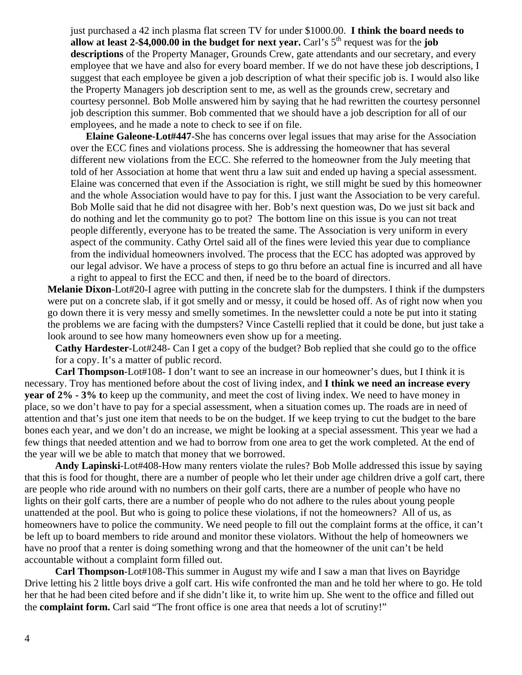just purchased a 42 inch plasma flat screen TV for under \$1000.00. **I think the board needs to allow at least 2-\$4,000.00 in the budget for next year.** Carl's  $5<sup>th</sup>$  request was for the **job descriptions** of the Property Manager, Grounds Crew, gate attendants and our secretary, and every employee that we have and also for every board member. If we do not have these job descriptions, I suggest that each employee be given a job description of what their specific job is. I would also like the Property Managers job description sent to me, as well as the grounds crew, secretary and courtesy personnel. Bob Molle answered him by saying that he had rewritten the courtesy personnel job description this summer. Bob commented that we should have a job description for all of our employees, and he made a note to check to see if on file.

**Elaine Galeone-Lot#447**-She has concerns over legal issues that may arise for the Association over the ECC fines and violations process. She is addressing the homeowner that has several different new violations from the ECC. She referred to the homeowner from the July meeting that told of her Association at home that went thru a law suit and ended up having a special assessment. Elaine was concerned that even if the Association is right, we still might be sued by this homeowner and the whole Association would have to pay for this. I just want the Association to be very careful. Bob Molle said that he did not disagree with her. Bob's next question was, Do we just sit back and do nothing and let the community go to pot? The bottom line on this issue is you can not treat people differently, everyone has to be treated the same. The Association is very uniform in every aspect of the community. Cathy Ortel said all of the fines were levied this year due to compliance from the individual homeowners involved. The process that the ECC has adopted was approved by our legal advisor. We have a process of steps to go thru before an actual fine is incurred and all have a right to appeal to first the ECC and then, if need be to the board of directors.

 **Melanie Dixon**-Lot#20-I agree with putting in the concrete slab for the dumpsters. I think if the dumpsters were put on a concrete slab, if it got smelly and or messy, it could be hosed off. As of right now when you go down there it is very messy and smelly sometimes. In the newsletter could a note be put into it stating the problems we are facing with the dumpsters? Vince Castelli replied that it could be done, but just take a look around to see how many homeowners even show up for a meeting.

**Cathy Hardester**-Lot#248- Can I get a copy of the budget? Bob replied that she could go to the office for a copy. It's a matter of public record.

 **Carl Thompson**-Lot#108- I don't want to see an increase in our homeowner's dues, but I think it is necessary. Troy has mentioned before about the cost of living index, and **I think we need an increase every year of 2% - 3% t**o keep up the community, and meet the cost of living index. We need to have money in place, so we don't have to pay for a special assessment, when a situation comes up. The roads are in need of attention and that's just one item that needs to be on the budget. If we keep trying to cut the budget to the bare bones each year, and we don't do an increase, we might be looking at a special assessment. This year we had a few things that needed attention and we had to borrow from one area to get the work completed. At the end of the year will we be able to match that money that we borrowed.

**Andy Lapinski**-Lot#408-How many renters violate the rules? Bob Molle addressed this issue by saying that this is food for thought, there are a number of people who let their under age children drive a golf cart, there are people who ride around with no numbers on their golf carts, there are a number of people who have no lights on their golf carts, there are a number of people who do not adhere to the rules about young people unattended at the pool. But who is going to police these violations, if not the homeowners? All of us, as homeowners have to police the community. We need people to fill out the complaint forms at the office, it can't be left up to board members to ride around and monitor these violators. Without the help of homeowners we have no proof that a renter is doing something wrong and that the homeowner of the unit can't be held accountable without a complaint form filled out.

**Carl Thompson**-Lot#108-This summer in August my wife and I saw a man that lives on Bayridge Drive letting his 2 little boys drive a golf cart. His wife confronted the man and he told her where to go. He told her that he had been cited before and if she didn't like it, to write him up. She went to the office and filled out the **complaint form.** Carl said "The front office is one area that needs a lot of scrutiny!"